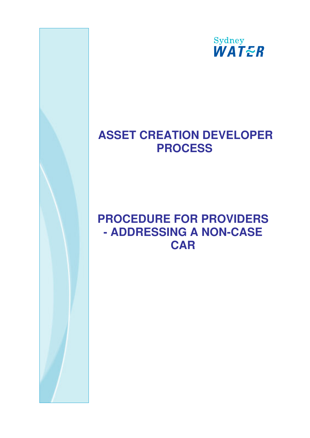

## **ASSET CREATION DEVELOPER PROCESS**

# **PROCEDURE FOR PROVIDERS - ADDRESSING A NON-CASE CAR**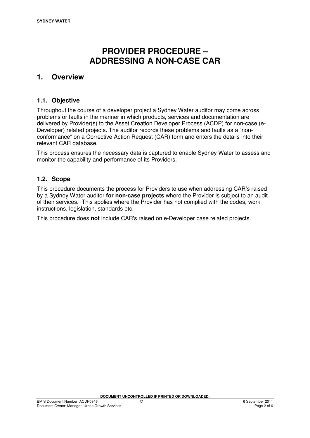## **PROVIDER PROCEDURE – ADDRESSING A NON-CASE CAR**

#### **1. Overview**

#### **1.1. Objective**

Throughout the course of a developer project a Sydney Water auditor may come across problems or faults in the manner in which products, services and documentation are delivered by Provider(s) to the Asset Creation Developer Process (ACDP) for non-case (e-Developer) related projects. The auditor records these problems and faults as a "nonconformance" on a Corrective Action Request (CAR) form and enters the details into their relevant CAR database.

This process ensures the necessary data is captured to enable Sydney Water to assess and monitor the capability and performance of its Providers.

#### **1.2. Scope**

This procedure documents the process for Providers to use when addressing CAR's raised by a Sydney Water auditor **for non-case projects** where the Provider is subject to an audit of their services. This applies where the Provider has not complied with the codes, work instructions, legislation, standards etc.

This procedure does **not** include CAR's raised on e-Developer case related projects.

**DOCUMENT UNCONTROLLED IF PRINTED OR DOWNLOADED.**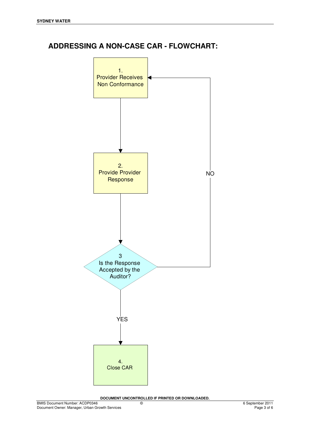### **ADDRESSING A NON-CASE CAR - FLOWCHART:**



**DOCUMENT UNCONTROLLED IF PRINTED OR DOWNLOADED.**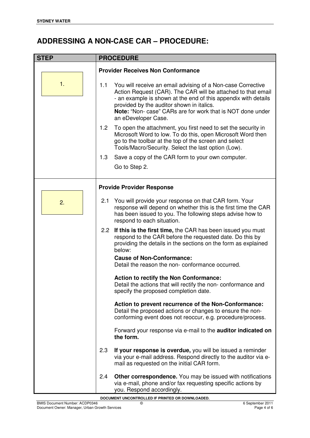### **ADDRESSING A NON-CASE CAR – PROCEDURE:**

| <b>STEP</b> | <b>PROCEDURE</b>                                                                                                                                                                                                                                                                                                                              |  |  |  |  |
|-------------|-----------------------------------------------------------------------------------------------------------------------------------------------------------------------------------------------------------------------------------------------------------------------------------------------------------------------------------------------|--|--|--|--|
|             | <b>Provider Receives Non Conformance</b>                                                                                                                                                                                                                                                                                                      |  |  |  |  |
| 1.          | You will receive an email advising of a Non-case Corrective<br>1.1<br>Action Request (CAR). The CAR will be attached to that email<br>- an example is shown at the end of this appendix with details<br>provided by the auditor shown in italics.<br><b>Note:</b> "Non- case" CARs are for work that is NOT done under<br>an eDeveloper Case. |  |  |  |  |
|             | To open the attachment, you first need to set the security in<br>1.2<br>Microsoft Word to low. To do this, open Microsoft Word then<br>go to the toolbar at the top of the screen and select<br>Tools/Macro/Security. Select the last option (Low).                                                                                           |  |  |  |  |
|             | 1.3<br>Save a copy of the CAR form to your own computer.                                                                                                                                                                                                                                                                                      |  |  |  |  |
|             | Go to Step 2.                                                                                                                                                                                                                                                                                                                                 |  |  |  |  |
|             | <b>Provide Provider Response</b>                                                                                                                                                                                                                                                                                                              |  |  |  |  |
| 2.          | You will provide your response on that CAR form. Your<br>2.1<br>response will depend on whether this is the first time the CAR<br>has been issued to you. The following steps advise how to<br>respond to each situation.                                                                                                                     |  |  |  |  |
|             | If this is the first time, the CAR has been issued you must<br>2.2 <sub>2</sub><br>respond to the CAR before the requested date. Do this by<br>providing the details in the sections on the form as explained<br>below:                                                                                                                       |  |  |  |  |
|             | <b>Cause of Non-Conformance:</b><br>Detail the reason the non-conformance occurred.                                                                                                                                                                                                                                                           |  |  |  |  |
|             | Action to rectify the Non Conformance:<br>Detail the actions that will rectify the non-conformance and<br>specify the proposed completion date.                                                                                                                                                                                               |  |  |  |  |
|             | Action to prevent recurrence of the Non-Conformance:<br>Detail the proposed actions or changes to ensure the non-<br>conforming event does not reoccur, e.g. procedure/process.                                                                                                                                                               |  |  |  |  |
|             | Forward your response via e-mail to the <b>auditor indicated on</b><br>the form.                                                                                                                                                                                                                                                              |  |  |  |  |
|             | 2.3<br>If your response is overdue, you will be issued a reminder<br>via your e-mail address. Respond directly to the auditor via e-<br>mail as requested on the initial CAR form.                                                                                                                                                            |  |  |  |  |
|             | Other correspondence. You may be issued with notifications<br>2.4<br>via e-mail, phone and/or fax requesting specific actions by<br>you. Respond accordingly.                                                                                                                                                                                 |  |  |  |  |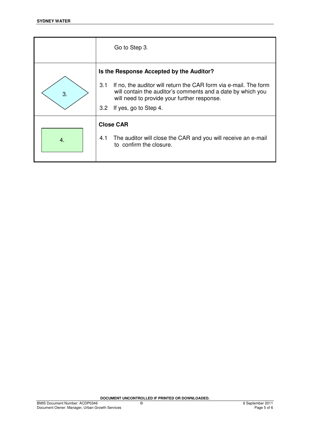|    | Go to Step 3.                                                                                                                                                                                                                                                     |  |  |  |  |
|----|-------------------------------------------------------------------------------------------------------------------------------------------------------------------------------------------------------------------------------------------------------------------|--|--|--|--|
| 3. | Is the Response Accepted by the Auditor?<br>3.1<br>If no, the auditor will return the CAR form via e-mail. The form<br>will contain the auditor's comments and a date by which you<br>will need to provide your further response.<br>If yes, go to Step 4.<br>3.2 |  |  |  |  |
| 4. | <b>Close CAR</b><br>The auditor will close the CAR and you will receive an e-mail<br>4.1<br>to confirm the closure.                                                                                                                                               |  |  |  |  |

**DOCUMENT UNCONTROLLED IF PRINTED OR DOWNLOADED.**